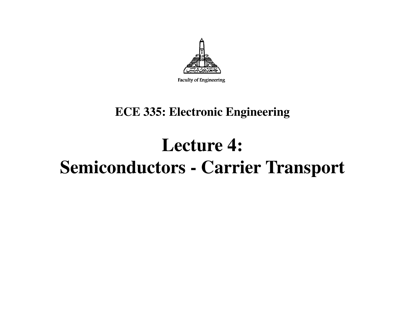

#### **ECE 335: Electronic Engineering**

#### **Lecture 4: Semiconductors - Carrier Transport**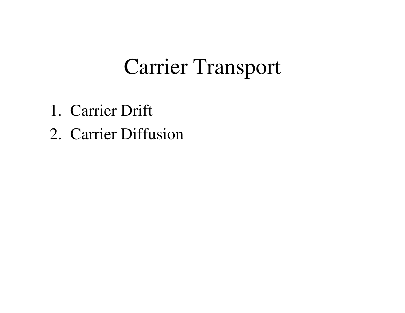# Carrier Transport

- 1. Carrier Drift
- 2. Carrier Diffusion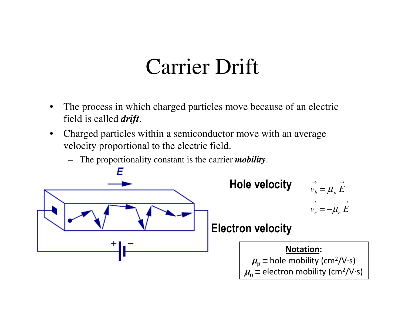## Carrier Drift

- • The process in which charged particles move because of an electric field is called *drift*.
- $\bullet$  Charged particles within a semiconductor move with an average velocity proportional to the electric field.
	- –The proportionality constant is the carrier *mobility*.





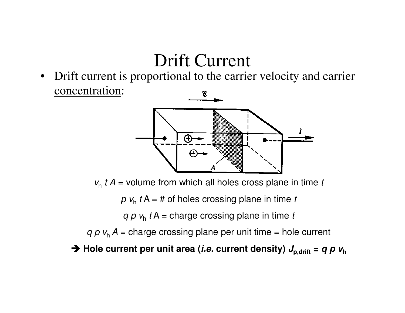#### Drift Current

 Drift current is proportional to the carrier velocity and carrier  $\bullet$ concentration:8



 $\mathsf{v}_{\mathsf{h}}$   $t$  A = volume from which all holes cross plane in time  $t$ 

 $p$   $v_h$   $t$  A = # of holes crossing plane in time  $t$ 

*q p v<sub>h</sub> t* A = charge crossing plane in time *t* 

 $q$   $p$   $v_{\textrm{h}}$   $A$  = charge crossing plane per unit time = hole current

 $\rightarrow$  Hole current per unit area (*i.e.* current density)  $J_{p, drift} = q p v_{h}$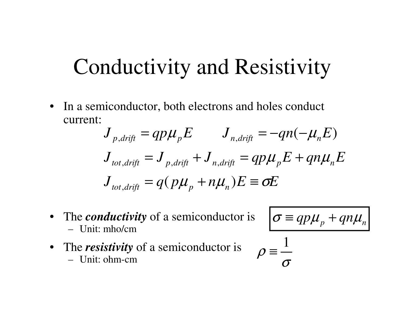#### Conductivity and Resistivity

• In a semiconductor, both electrons and holes conduct current:

$$
J_{p,drift} = qp\mu_p E \t J_{n,drift} = -qn(-\mu_n E)
$$
  

$$
J_{tot,drift} = J_{p,drift} + J_{n,drift} = qp\mu_p E + qn\mu_n E
$$
  

$$
J_{tot,drift} = q(p\mu_p + n\mu_n)E \equiv \sigma E
$$

• The *conductivity* of a semiconductor is Unit: mho/cm

$$
\sigma \equiv qp\mu_p + qn\mu_n
$$

• The *resistivity* of a semiconductor is Unit: ohm-cm

$$
\rho \equiv \frac{1}{\sigma}
$$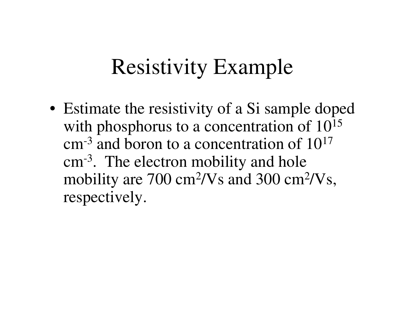# Resistivity Example

• Estimate the resistivity of a Si sample doped with phosphorus to a concentration of  $10^{15}$ cm<sup>-3</sup> and boron to a concentration of  $10^{17}$ cm-3. The electron mobility and hole mobility are 700 cm2/Vs and 300 cm2/Vs, respectively.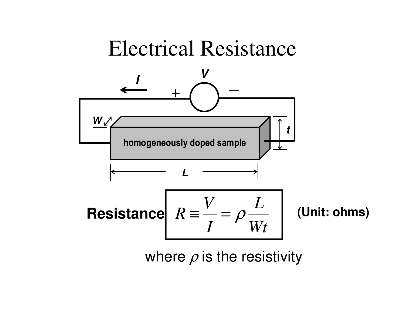

where  $\rho$  is the resistivity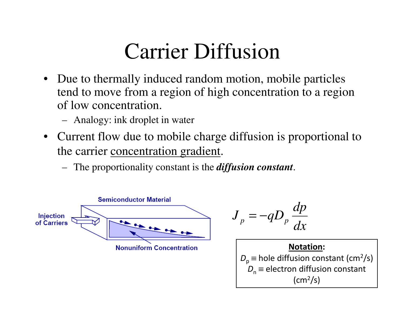# Carrier Diffusion

- $\bullet$  Due to thermally induced random motion, mobile particles tend to move from a region of high concentration to a region of low concentration.
	- Analogy: ink droplet in water
- Current flow due to mobile charge diffusion is proportional to the carrier concentration gradient.

*dx*

**Notation:**

(cm2/s)

*dp*

The proportionality constant is the *diffusion constant*.

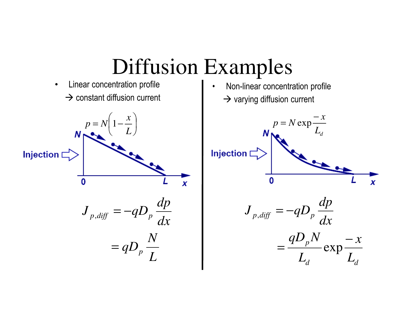

#### Diffusion Examples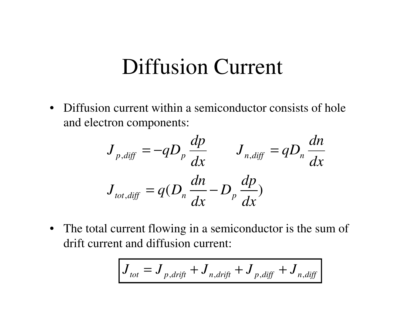#### Diffusion Current

• Diffusion current within a semiconductor consists of hole and electron components:

$$
J_{p,diff} = -qD_p \frac{dp}{dx} \qquad J_{n,diff} = qD_n \frac{dn}{dx}
$$

$$
J_{tot,diff} = q(D_n \frac{dn}{dx} - D_p \frac{dp}{dx})
$$

• The total current flowing in a semiconductor is the sum of drift current and diffusion current:

$$
J_{tot} = J_{p, drift} + J_{n, drift} + J_{p, diff} + J_{n, diff}
$$